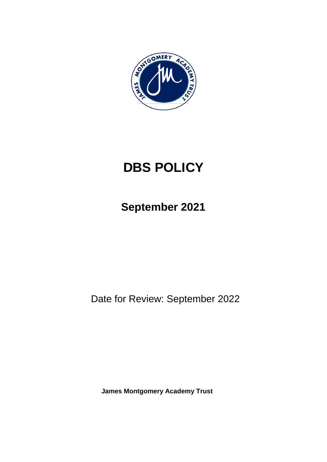

# **DBS POLICY**

**September 2021**

Date for Review: September 2022

**James Montgomery Academy Trust**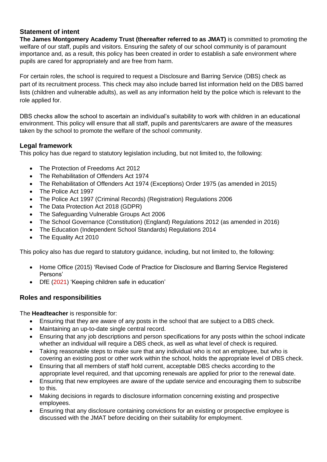#### **Statement of intent**

**The James Montgomery Academy Trust (thereafter referred to as JMAT)** is committed to promoting the welfare of our staff, pupils and visitors. Ensuring the safety of our school community is of paramount importance and, as a result, this policy has been created in order to establish a safe environment where pupils are cared for appropriately and are free from harm.

For certain roles, the school is required to request a Disclosure and Barring Service (DBS) check as part of its recruitment process. This check may also include barred list information held on the DBS barred lists (children and vulnerable adults), as well as any information held by the police which is relevant to the role applied for.

DBS checks allow the school to ascertain an individual's suitability to work with children in an educational environment. This policy will ensure that all staff, pupils and parents/carers are aware of the measures taken by the school to promote the welfare of the school community.

#### **Legal framework**

This policy has due regard to statutory legislation including, but not limited to, the following:

- The Protection of Freedoms Act 2012
- The Rehabilitation of Offenders Act 1974
- The Rehabilitation of Offenders Act 1974 (Exceptions) Order 1975 (as amended in 2015)
- The Police Act 1997
- The Police Act 1997 (Criminal Records) (Registration) Regulations 2006
- The Data Protection Act 2018 (GDPR)
- The Safeguarding Vulnerable Groups Act 2006
- The School Governance (Constitution) (England) Regulations 2012 (as amended in 2016)
- The Education (Independent School Standards) Regulations 2014
- The Equality Act 2010

This policy also has due regard to statutory guidance, including, but not limited to, the following:

- Home Office (2015) 'Revised Code of Practice for Disclosure and Barring Service Registered Persons'
- DfE (2021) 'Keeping children safe in education'

#### **Roles and responsibilities**

The **Headteacher** is responsible for:

- Ensuring that they are aware of any posts in the school that are subject to a DBS check.
- Maintaining an up-to-date single central record.
- Ensuring that any job descriptions and person specifications for any posts within the school indicate whether an individual will require a DBS check, as well as what level of check is required.
- Taking reasonable steps to make sure that any individual who is not an employee, but who is covering an existing post or other work within the school, holds the appropriate level of DBS check.
- Ensuring that all members of staff hold current, acceptable DBS checks according to the appropriate level required, and that upcoming renewals are applied for prior to the renewal date.
- Ensuring that new employees are aware of the update service and encouraging them to subscribe to this.
- Making decisions in regards to disclosure information concerning existing and prospective employees.
- Ensuring that any disclosure containing convictions for an existing or prospective employee is discussed with the JMAT before deciding on their suitability for employment.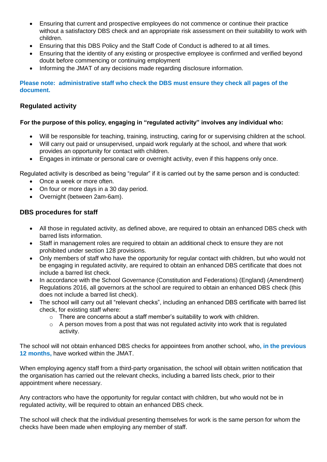- Ensuring that current and prospective employees do not commence or continue their practice without a satisfactory DBS check and an appropriate risk assessment on their suitability to work with children.
- Ensuring that this DBS Policy and the Staff Code of Conduct is adhered to at all times.
- Ensuring that the identity of any existing or prospective employee is confirmed and verified beyond doubt before commencing or continuing employment
- Informing the JMAT of any decisions made regarding disclosure information.

**Please note: administrative staff who check the DBS must ensure they check all pages of the document.**

#### **Regulated activity**

#### **For the purpose of this policy, engaging in "regulated activity" involves any individual who:**

- Will be responsible for teaching, training, instructing, caring for or supervising children at the school.
- Will carry out paid or unsupervised, unpaid work regularly at the school, and where that work provides an opportunity for contact with children.
- Engages in intimate or personal care or overnight activity, even if this happens only once.

Regulated activity is described as being "regular" if it is carried out by the same person and is conducted:

- Once a week or more often.
- On four or more days in a 30 day period.
- Overnight (between 2am-6am).

#### **DBS procedures for staff**

- All those in regulated activity, as defined above, are required to obtain an enhanced DBS check with barred lists information.
- Staff in management roles are required to obtain an additional check to ensure they are not prohibited under section 128 provisions.
- Only members of staff who have the opportunity for regular contact with children, but who would not be engaging in regulated activity, are required to obtain an enhanced DBS certificate that does not include a barred list check.
- In accordance with the School Governance (Constitution and Federations) (England) (Amendment) Regulations 2016, all governors at the school are required to obtain an enhanced DBS check (this does not include a barred list check).
- The school will carry out all "relevant checks", including an enhanced DBS certificate with barred list check, for existing staff where:
	- o There are concerns about a staff member's suitability to work with children.
	- $\circ$  A person moves from a post that was not regulated activity into work that is regulated activity.

The school will not obtain enhanced DBS checks for appointees from another school, who**, in the previous 12 months,** have worked within the JMAT.

When employing agency staff from a third-party organisation, the school will obtain written notification that the organisation has carried out the relevant checks, including a barred lists check, prior to their appointment where necessary.

Any contractors who have the opportunity for regular contact with children, but who would not be in regulated activity, will be required to obtain an enhanced DBS check.

The school will check that the individual presenting themselves for work is the same person for whom the checks have been made when employing any member of staff.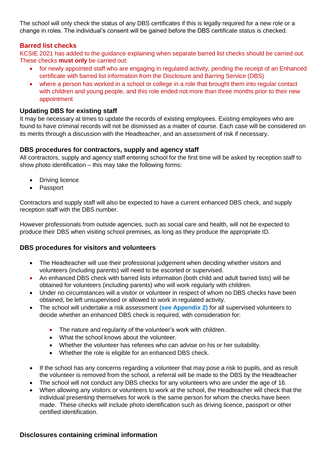The school will only check the status of any DBS certificates if this is legally required for a new role or a change in roles. The individual's consent will be gained before the DBS certificate status is checked.

#### **Barred list checks**

KCSIE 2021 has added to the guidance explaining when separate barred list checks should be carried out. These checks **must only** be carried out:

- for newly appointed staff who are engaging in regulated activity, pending the receipt of an Enhanced certificate with barred list information from the Disclosure and Barring Service (DBS)
- where a person has worked in a school or college in a role that brought them into regular contact with children and young people, and this role ended not more than three months prior to their new appointment

#### **Updating DBS for existing staff**

It may be necessary at times to update the records of existing employees. Existing employees who are found to have criminal records will not be dismissed as a matter of course. Each case will be considered on its merits through a discussion with the Headteacher, and an assessment of risk if necessary.

#### **DBS procedures for contractors, supply and agency staff**

All contractors, supply and agency staff entering school for the first time will be asked by reception staff to show photo identification – this may take the following forms:

- Driving licence
- Passport

Contractors and supply staff will also be expected to have a current enhanced DBS check, and supply reception staff with the DBS number.

However professionals from outside agencies, such as social care and health, will not be expected to produce their DBS when visiting school premises, as long as they produce the appropriate ID.

#### **DBS procedures for visitors and volunteers**

- The Headteacher will use their professional judgement when deciding whether visitors and volunteers (including parents) will need to be escorted or supervised.
- An enhanced DBS check with barred lists information (both child and adult barred lists) will be obtained for volunteers (including parents) who will work regularly with children.
- Under no circumstances will a visitor or volunteer in respect of whom no DBS checks have been obtained, be left unsupervised or allowed to work in regulated activity.
- The school will undertake a risk assessment **(see Appendix 2)** for all supervised volunteers to decide whether an enhanced DBS check is required, with consideration for:
	- The nature and regularity of the volunteer's work with children.
	- What the school knows about the volunteer.
	- Whether the volunteer has referees who can advise on his or her suitability.
	- Whether the role is eligible for an enhanced DBS check.
- If the school has any concerns regarding a volunteer that may pose a risk to pupils, and as result the volunteer is removed from the school, a referral will be made to the DBS by the Headteacher
- The school will not conduct any DBS checks for any volunteers who are under the age of 16.
- When allowing any visitors or volunteers to work at the school, the Headteacher will check that the individual presenting themselves for work is the same person for whom the checks have been made. These checks will include photo identification such as driving licence, passport or other certified identification.

#### **Disclosures containing criminal information**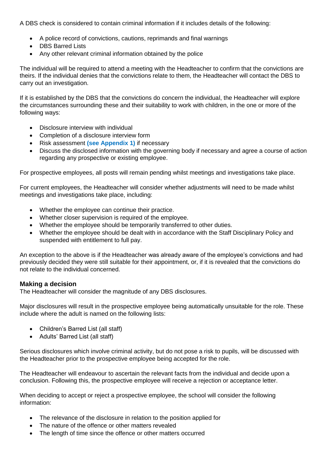A DBS check is considered to contain criminal information if it includes details of the following:

- A police record of convictions, cautions, reprimands and final warnings
- DBS Barred Lists
- Any other relevant criminal information obtained by the police

The individual will be required to attend a meeting with the Headteacher to confirm that the convictions are theirs. If the individual denies that the convictions relate to them, the Headteacher will contact the DBS to carry out an investigation.

If it is established by the DBS that the convictions do concern the individual, the Headteacher will explore the circumstances surrounding these and their suitability to work with children, in the one or more of the following ways:

- Disclosure interview with individual
- Completion of a disclosure interview form
- Risk assessment **(see Appendix 1)** if necessary
- Discuss the disclosed information with the governing body if necessary and agree a course of action regarding any prospective or existing employee.

For prospective employees, all posts will remain pending whilst meetings and investigations take place.

For current employees, the Headteacher will consider whether adjustments will need to be made whilst meetings and investigations take place, including:

- Whether the employee can continue their practice.
- Whether closer supervision is required of the employee.
- Whether the employee should be temporarily transferred to other duties.
- Whether the employee should be dealt with in accordance with the Staff Disciplinary Policy and suspended with entitlement to full pay.

An exception to the above is if the Headteacher was already aware of the employee's convictions and had previously decided they were still suitable for their appointment, or, if it is revealed that the convictions do not relate to the individual concerned.

#### **Making a decision**

The Headteacher will consider the magnitude of any DBS disclosures.

Major disclosures will result in the prospective employee being automatically unsuitable for the role. These include where the adult is named on the following lists:

- Children's Barred List (all staff)
- Adults' Barred List (all staff)

Serious disclosures which involve criminal activity, but do not pose a risk to pupils, will be discussed with the Headteacher prior to the prospective employee being accepted for the role.

The Headteacher will endeavour to ascertain the relevant facts from the individual and decide upon a conclusion. Following this, the prospective employee will receive a rejection or acceptance letter.

When deciding to accept or reject a prospective employee, the school will consider the following information:

- The relevance of the disclosure in relation to the position applied for
- The nature of the offence or other matters revealed
- The length of time since the offence or other matters occurred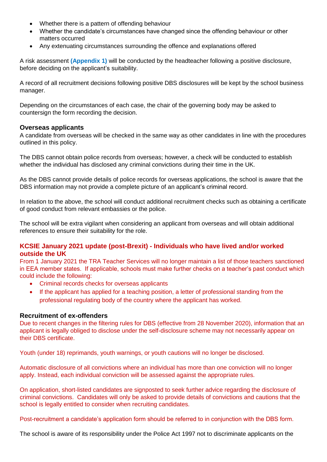- Whether there is a pattern of offending behaviour
- Whether the candidate's circumstances have changed since the offending behaviour or other matters occurred
- Any extenuating circumstances surrounding the offence and explanations offered

A risk assessment **(Appendix 1)** will be conducted by the headteacher following a positive disclosure, before deciding on the applicant's suitability.

A record of all recruitment decisions following positive DBS disclosures will be kept by the school business manager.

Depending on the circumstances of each case, the chair of the governing body may be asked to countersign the form recording the decision.

#### **Overseas applicants**

A candidate from overseas will be checked in the same way as other candidates in line with the procedures outlined in this policy.

The DBS cannot obtain police records from overseas; however, a check will be conducted to establish whether the individual has disclosed any criminal convictions during their time in the UK.

As the DBS cannot provide details of police records for overseas applications, the school is aware that the DBS information may not provide a complete picture of an applicant's criminal record.

In relation to the above, the school will conduct additional recruitment checks such as obtaining a certificate of good conduct from relevant embassies or the police.

The school will be extra vigilant when considering an applicant from overseas and will obtain additional references to ensure their suitability for the role.

#### **KCSIE January 2021 update (post-Brexit) - Individuals who have lived and/or worked outside the UK**

From 1 January 2021 the TRA Teacher Services will no longer maintain a list of those teachers sanctioned in EEA member states. If applicable, schools must make further checks on a teacher's past conduct which could include the following:

- Criminal records checks for overseas applicants
- If the applicant has applied for a teaching position, a letter of professional standing from the professional regulating body of the country where the applicant has worked.

#### **Recruitment of ex-offenders**

Due to recent changes in the filtering rules for DBS (effective from 28 November 2020), information that an applicant is legally obliged to disclose under the self-disclosure scheme may not necessarily appear on their DBS certificate.

Youth (under 18) reprimands, youth warnings, or youth cautions will no longer be disclosed.

Automatic disclosure of all convictions where an individual has more than one conviction will no longer apply. Instead, each individual conviction will be assessed against the appropriate rules.

On application, short-listed candidates are signposted to seek further advice regarding the disclosure of criminal convictions. Candidates will only be asked to provide details of convictions and cautions that the school is legally entitled to consider when recruiting candidates.

Post-recruitment a candidate's application form should be referred to in conjunction with the DBS form.

The school is aware of its responsibility under the Police Act 1997 not to discriminate applicants on the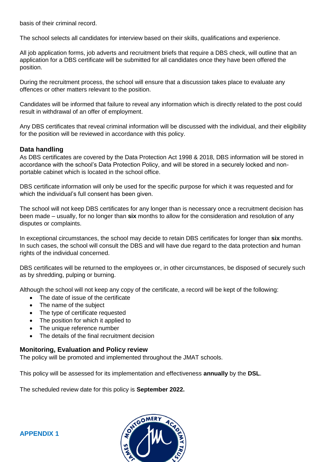basis of their criminal record.

The school selects all candidates for interview based on their skills, qualifications and experience.

All job application forms, job adverts and recruitment briefs that require a DBS check, will outline that an application for a DBS certificate will be submitted for all candidates once they have been offered the position.

During the recruitment process, the school will ensure that a discussion takes place to evaluate any offences or other matters relevant to the position.

Candidates will be informed that failure to reveal any information which is directly related to the post could result in withdrawal of an offer of employment.

Any DBS certificates that reveal criminal information will be discussed with the individual, and their eligibility for the position will be reviewed in accordance with this policy.

#### **Data handling**

As DBS certificates are covered by the Data Protection Act 1998 & 2018, DBS information will be stored in accordance with the school's Data Protection Policy, and will be stored in a securely locked and nonportable cabinet which is located in the school office.

DBS certificate information will only be used for the specific purpose for which it was requested and for which the individual's full consent has been given.

The school will not keep DBS certificates for any longer than is necessary once a recruitment decision has been made – usually, for no longer than **six** months to allow for the consideration and resolution of any disputes or complaints.

In exceptional circumstances, the school may decide to retain DBS certificates for longer than **six** months. In such cases, the school will consult the DBS and will have due regard to the data protection and human rights of the individual concerned.

DBS certificates will be returned to the employees or, in other circumstances, be disposed of securely such as by shredding, pulping or burning.

Although the school will not keep any copy of the certificate, a record will be kept of the following:

- The date of issue of the certificate
- The name of the subject
- The type of certificate requested
- The position for which it applied to
- The unique reference number
- The details of the final recruitment decision

#### **Monitoring, Evaluation and Policy review**

The policy will be promoted and implemented throughout the JMAT schools.

This policy will be assessed for its implementation and effectiveness **annually** by the **DSL**.

The scheduled review date for this policy is **September 2022.**

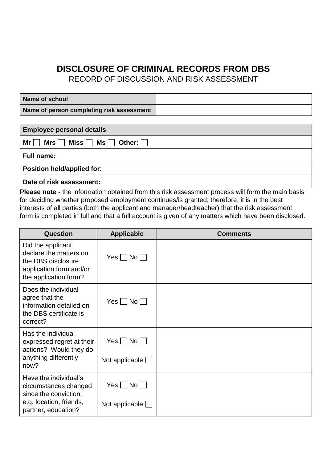## **DISCLOSURE OF CRIMINAL RECORDS FROM DBS**

RECORD OF DISCUSSION AND RISK ASSESSMENT

| Name of school                              |  |
|---------------------------------------------|--|
| Name of person completing risk assessment / |  |

| <b>Employee personal details</b>                         |
|----------------------------------------------------------|
| Mr $\Box$ Mrs $\Box$ Miss $\Box$ Ms $\Box$ Other: $\Box$ |
| <b>Full name:</b>                                        |
| Position held/applied for:                               |
|                                                          |

**Date of risk assessment:** 

**Please note -** the information obtained from this risk assessment process will form the main basis for deciding whether proposed employment continues/is granted; therefore, it is in the best interests of all parties (both the applicant and manager/headteacher) that the risk assessment form is completed in full and that a full account is given of any matters which have been disclosed.

| <b>Question</b>                                                                                                           | <b>Applicable</b>                                                 | <b>Comments</b> |
|---------------------------------------------------------------------------------------------------------------------------|-------------------------------------------------------------------|-----------------|
| Did the applicant<br>declare the matters on<br>the DBS disclosure<br>application form and/or<br>the application form?     | $Yes \mid No \mid$                                                |                 |
| Does the individual<br>agree that the<br>information detailed on<br>the DBS certificate is<br>correct?                    | $Yes \mid No \mid$                                                |                 |
| Has the individual<br>expressed regret at their<br>actions? Would they do<br>anything differently<br>now?                 | $Yes \Box No \Box$<br>Not applicable $\Box$                       |                 |
| Have the individual's<br>circumstances changed<br>since the conviction,<br>e.g. location, friends,<br>partner, education? | $Yes \nightharpoonup No \nightharpoonup$<br>Not applicable $\Box$ |                 |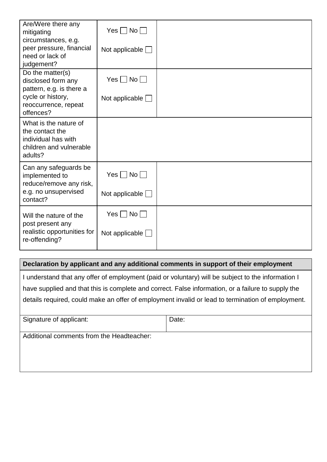| Are/Were there any<br>mitigating                                                                      | $Yes \Box No \Box$       |  |
|-------------------------------------------------------------------------------------------------------|--------------------------|--|
| circumstances, e.g.<br>peer pressure, financial<br>need or lack of<br>judgement?                      | Not applicable $\lfloor$ |  |
| Do the matter(s)<br>disclosed form any<br>pattern, e.g. is there a                                    | $Yes \Box No \Box$       |  |
| cycle or history,<br>reoccurrence, repeat<br>offences?                                                | Not applicable $\Box$    |  |
| What is the nature of<br>the contact the<br>individual has with<br>children and vulnerable<br>adults? |                          |  |
| Can any safeguards be<br>implemented to<br>reduce/remove any risk,                                    | $Yes \Box No \Box$       |  |
| e.g. no unsupervised<br>contact?                                                                      | Not applicable $\Box$    |  |
| Will the nature of the<br>post present any                                                            | $Yes \Box No \Box$       |  |
| realistic opportunities for<br>re-offending?                                                          | Not applicable $\lfloor$ |  |

#### **Declaration by applicant and any additional comments in support of their employment**

I understand that any offer of employment (paid or voluntary) will be subject to the information I have supplied and that this is complete and correct. False information, or a failure to supply the details required, could make an offer of employment invalid or lead to termination of employment.

| Signature of applicant:                   | Date: |
|-------------------------------------------|-------|
| Additional comments from the Headteacher: |       |
|                                           |       |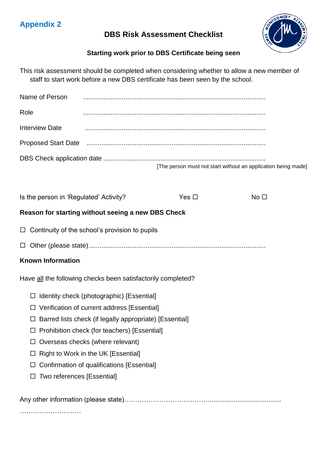### **DBS Risk Assessment Checklist**



## **Starting work prior to DBS Certificate being seen**

| This risk assessment should be completed when considering whether to allow a new member of |
|--------------------------------------------------------------------------------------------|
| staff to start work before a new DBS certificate has been seen by the school.              |

| Name of Person                                               |                                                         |               |                                                               |  |
|--------------------------------------------------------------|---------------------------------------------------------|---------------|---------------------------------------------------------------|--|
| Role                                                         |                                                         |               |                                                               |  |
| <b>Interview Date</b>                                        |                                                         |               |                                                               |  |
|                                                              |                                                         |               |                                                               |  |
|                                                              |                                                         |               | [The person must not start without an application being made] |  |
| Is the person in 'Regulated' Activity?                       |                                                         | Yes $\square$ | No <sub>1</sub>                                               |  |
| Reason for starting without seeing a new DBS Check           |                                                         |               |                                                               |  |
| $\Box$                                                       | Continuity of the school's provision to pupils          |               |                                                               |  |
| $\Box$                                                       |                                                         |               |                                                               |  |
| <b>Known Information</b>                                     |                                                         |               |                                                               |  |
| Have all the following checks been satisfactorily completed? |                                                         |               |                                                               |  |
| $\Box$                                                       | Identity check (photographic) [Essential]               |               |                                                               |  |
| $\Box$                                                       | Verification of current address [Essential]             |               |                                                               |  |
| □                                                            | Barred lists check (if legally appropriate) [Essential] |               |                                                               |  |
| $\Box$                                                       | Prohibition check (for teachers) [Essential]            |               |                                                               |  |
|                                                              | Overseas checks (where relevant)                        |               |                                                               |  |
| ப                                                            | Right to Work in the UK [Essential]                     |               |                                                               |  |
| $\Box$                                                       | Confirmation of qualifications [Essential]              |               |                                                               |  |
| <b>Two references [Essential]</b><br>ப                       |                                                         |               |                                                               |  |
|                                                              |                                                         |               |                                                               |  |
|                                                              |                                                         |               |                                                               |  |